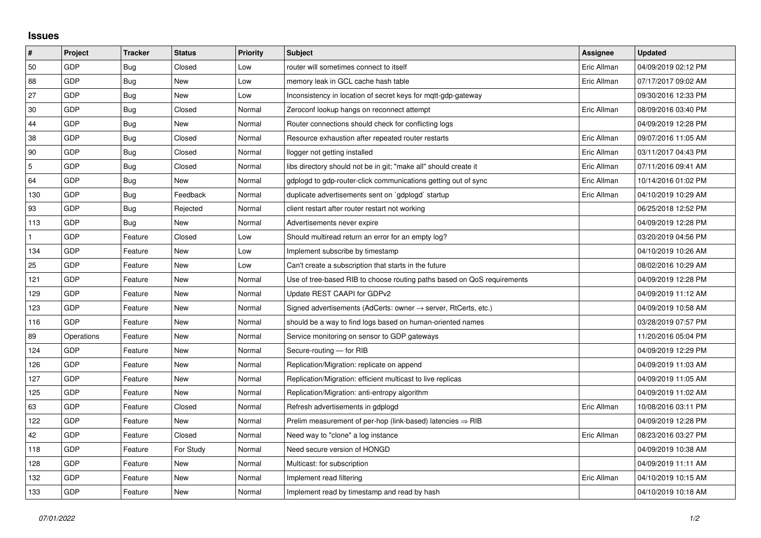## **Issues**

| #   | Project    | <b>Tracker</b> | <b>Status</b> | <b>Priority</b> | <b>Subject</b>                                                             | <b>Assignee</b> | <b>Updated</b>      |
|-----|------------|----------------|---------------|-----------------|----------------------------------------------------------------------------|-----------------|---------------------|
| 50  | GDP        | Bug            | Closed        | Low             | router will sometimes connect to itself                                    | Eric Allman     | 04/09/2019 02:12 PM |
| 88  | GDP        | <b>Bug</b>     | New           | Low             | memory leak in GCL cache hash table                                        | Eric Allman     | 07/17/2017 09:02 AM |
| 27  | GDP        | <b>Bug</b>     | <b>New</b>    | Low             | Inconsistency in location of secret keys for mgtt-gdp-gateway              |                 | 09/30/2016 12:33 PM |
| 30  | GDP        | Bug            | Closed        | Normal          | Zeroconf lookup hangs on reconnect attempt                                 | Eric Allman     | 08/09/2016 03:40 PM |
| 44  | GDP        | <b>Bug</b>     | New           | Normal          | Router connections should check for conflicting logs                       |                 | 04/09/2019 12:28 PM |
| 38  | GDP        | Bug            | Closed        | Normal          | Resource exhaustion after repeated router restarts                         | Eric Allman     | 09/07/2016 11:05 AM |
| 90  | GDP        | Bug            | Closed        | Normal          | llogger not getting installed                                              | Eric Allman     | 03/11/2017 04:43 PM |
| 5   | GDP        | <b>Bug</b>     | Closed        | Normal          | libs directory should not be in git; "make all" should create it           | Eric Allman     | 07/11/2016 09:41 AM |
| 64  | GDP        | Bug            | New           | Normal          | gdplogd to gdp-router-click communications getting out of sync             | Eric Allman     | 10/14/2016 01:02 PM |
| 130 | GDP        | <b>Bug</b>     | Feedback      | Normal          | duplicate advertisements sent on `gdplogd` startup                         | Eric Allman     | 04/10/2019 10:29 AM |
| 93  | GDP        | Bug            | Rejected      | Normal          | client restart after router restart not working                            |                 | 06/25/2018 12:52 PM |
| 113 | GDP        | Bug            | <b>New</b>    | Normal          | Advertisements never expire                                                |                 | 04/09/2019 12:28 PM |
|     | GDP        | Feature        | Closed        | Low             | Should multiread return an error for an empty log?                         |                 | 03/20/2019 04:56 PM |
| 134 | GDP        | Feature        | New           | Low             | Implement subscribe by timestamp                                           |                 | 04/10/2019 10:26 AM |
| 25  | GDP        | Feature        | <b>New</b>    | Low             | Can't create a subscription that starts in the future                      |                 | 08/02/2016 10:29 AM |
| 121 | GDP        | Feature        | <b>New</b>    | Normal          | Use of tree-based RIB to choose routing paths based on QoS requirements    |                 | 04/09/2019 12:28 PM |
| 129 | GDP        | Feature        | New           | Normal          | Update REST CAAPI for GDPv2                                                |                 | 04/09/2019 11:12 AM |
| 123 | GDP        | Feature        | <b>New</b>    | Normal          | Signed advertisements (AdCerts: owner $\rightarrow$ server, RtCerts, etc.) |                 | 04/09/2019 10:58 AM |
| 116 | GDP        | Feature        | New           | Normal          | should be a way to find logs based on human-oriented names                 |                 | 03/28/2019 07:57 PM |
| 89  | Operations | Feature        | New           | Normal          | Service monitoring on sensor to GDP gateways                               |                 | 11/20/2016 05:04 PM |
| 124 | GDP        | Feature        | New           | Normal          | Secure-routing - for RIB                                                   |                 | 04/09/2019 12:29 PM |
| 126 | GDP        | Feature        | New           | Normal          | Replication/Migration: replicate on append                                 |                 | 04/09/2019 11:03 AM |
| 127 | GDP        | Feature        | <b>New</b>    | Normal          | Replication/Migration: efficient multicast to live replicas                |                 | 04/09/2019 11:05 AM |
| 125 | GDP        | Feature        | New           | Normal          | Replication/Migration: anti-entropy algorithm                              |                 | 04/09/2019 11:02 AM |
| 63  | GDP        | Feature        | Closed        | Normal          | Refresh advertisements in gdplogd                                          | Eric Allman     | 10/08/2016 03:11 PM |
| 122 | GDP        | Feature        | <b>New</b>    | Normal          | Prelim measurement of per-hop (link-based) latencies $\Rightarrow$ RIB     |                 | 04/09/2019 12:28 PM |
| 42  | GDP        | Feature        | Closed        | Normal          | Need way to "clone" a log instance                                         | Eric Allman     | 08/23/2016 03:27 PM |
| 118 | GDP        | Feature        | For Study     | Normal          | Need secure version of HONGD                                               |                 | 04/09/2019 10:38 AM |
| 128 | GDP        | Feature        | New           | Normal          | Multicast: for subscription                                                |                 | 04/09/2019 11:11 AM |
| 132 | GDP        | Feature        | New           | Normal          | Implement read filtering                                                   | Eric Allman     | 04/10/2019 10:15 AM |
| 133 | GDP        | Feature        | New           | Normal          | Implement read by timestamp and read by hash                               |                 | 04/10/2019 10:18 AM |